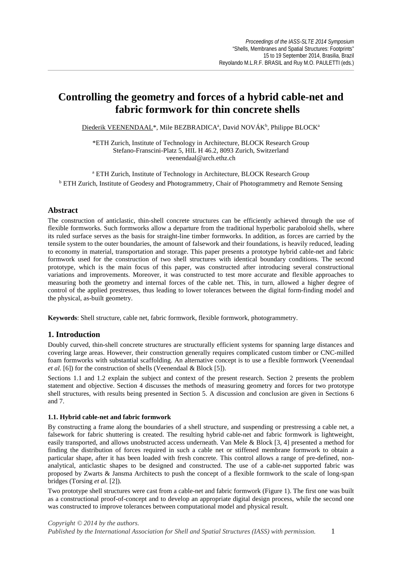# **Controlling the geometry and forces of a hybrid cable-net and fabric formwork for thin concrete shells**

Diederik VEENENDAAL\*, Mile BEZBRADICAª, David NOVÁK<sup>b</sup>, Philippe BLOCK<sup>a</sup>

\*ETH Zurich, Institute of Technology in Architecture, BLOCK Research Group Stefano-Franscini-Platz 5, HIL H 46.2, 8093 Zurich, Switzerland veenendaal@arch.ethz.ch

<sup>a</sup> ETH Zurich, Institute of Technology in Architecture, BLOCK Research Group <sup>b</sup> ETH Zurich, Institute of Geodesy and Photogrammetry, Chair of Photogrammetry and Remote Sensing

## **Abstract**

The construction of anticlastic, thin-shell concrete structures can be efficiently achieved through the use of flexible formworks. Such formworks allow a departure from the traditional hyperbolic paraboloid shells, where its ruled surface serves as the basis for straight-line timber formworks. In addition, as forces are carried by the tensile system to the outer boundaries, the amount of falsework and their foundations, is heavily reduced, leading to economy in material, transportation and storage. This paper presents a prototype hybrid cable-net and fabric formwork used for the construction of two shell structures with identical boundary conditions. The second prototype, which is the main focus of this paper, was constructed after introducing several constructional variations and improvements. Moreover, it was constructed to test more accurate and flexible approaches to measuring both the geometry and internal forces of the cable net. This, in turn, allowed a higher degree of control of the applied prestresses, thus leading to lower tolerances between the digital form-finding model and the physical, as-built geometry.

**Keywords**: Shell structure, cable net, fabric formwork, flexible formwork, photogrammetry.

## **1. Introduction**

Doubly curved, thin-shell concrete structures are structurally efficient systems for spanning large distances and covering large areas. However, their construction generally requires complicated custom timber or CNC-milled foam formworks with substantial scaffolding. An alternative concept is to use a flexible formwork (Veenendaal *et al.* [6]) for the construction of shells (Veenendaal & Block [5]).

Sections 1.1 and 1.2 explain the subject and context of the present research. Section 2 presents the problem statement and objective. Section 4 discusses the methods of measuring geometry and forces for two prototype shell structures, with results being presented in Section 5. A discussion and conclusion are given in Sections 6 and 7.

#### **1.1. Hybrid cable-net and fabric formwork**

By constructing a frame along the boundaries of a shell structure, and suspending or prestressing a cable net, a falsework for fabric shuttering is created. The resulting hybrid cable-net and fabric formwork is lightweight, easily transported, and allows unobstructed access underneath. Van Mele & Block [3, 4] presented a method for finding the distribution of forces required in such a cable net or stiffened membrane formwork to obtain a particular shape, after it has been loaded with fresh concrete. This control allows a range of pre-defined, nonanalytical, anticlastic shapes to be designed and constructed. The use of a cable-net supported fabric was proposed by Zwarts & Jansma Architects to push the concept of a flexible formwork to the scale of long-span bridges (Torsing *et al.* [2]).

Two prototype shell structures were cast from a cable-net and fabric formwork (Figure 1). The first one was built as a constructional proof-of-concept and to develop an appropriate digital design process, while the second one was constructed to improve tolerances between computational model and physical result.

*Copyright © 2014 by the authors. Published by the International Association for Shell and Spatial Structures (IASS) with permission.* 1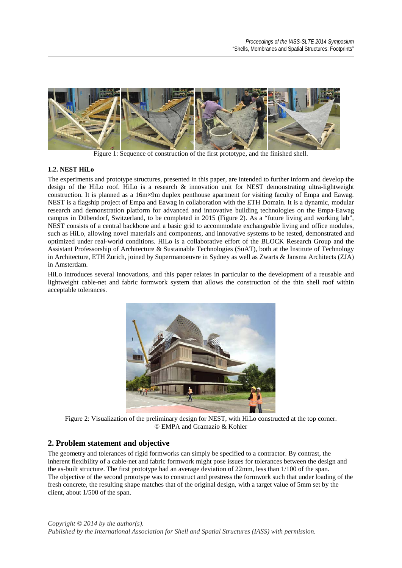

Figure 1: Sequence of construction of the first prototype, and the finished shell.

#### **1.2. NEST HiLo**

The experiments and prototype structures, presented in this paper, are intended to further inform and develop the design of the HiLo roof. HiLo is a research & innovation unit for NEST demonstrating ultra-lightweight construction. It is planned as a 16m×9m duplex penthouse apartment for visiting faculty of Empa and Eawag. NEST is a flagship project of Empa and Eawag in collaboration with the ETH Domain. It is a dynamic, modular research and demonstration platform for advanced and innovative building technologies on the Empa-Eawag campus in Dübendorf, Switzerland, to be completed in 2015 (Figure 2). As a "future living and working lab", NEST consists of a central backbone and a basic grid to accommodate exchangeable living and office modules, such as HiLo, allowing novel materials and components, and innovative systems to be tested, demonstrated and optimized under real-world conditions. HiLo is a collaborative effort of the BLOCK Research Group and the Assistant Professorship of Architecture & Sustainable Technologies (SuAT), both at the Institute of Technology in Architecture, ETH Zurich, joined by Supermanoeuvre in Sydney as well as Zwarts & Jansma Architects (ZJA) in Amsterdam.

HiLo introduces several innovations, and this paper relates in particular to the development of a reusable and lightweight cable-net and fabric formwork system that allows the construction of the thin shell roof within acceptable tolerances.



Figure 2: Visualization of the preliminary design for NEST, with HiLo constructed at the top corner. © EMPA and Gramazio & Kohler

## **2. Problem statement and objective**

The geometry and tolerances of rigid formworks can simply be specified to a contractor. By contrast, the inherent flexibility of a cable-net and fabric formwork might pose issues for tolerances between the design and the as-built structure. The first prototype had an average deviation of 22mm, less than 1/100 of the span. The objective of the second prototype was to construct and prestress the formwork such that under loading of the fresh concrete, the resulting shape matches that of the original design, with a target value of 5mm set by the client, about 1/500 of the span.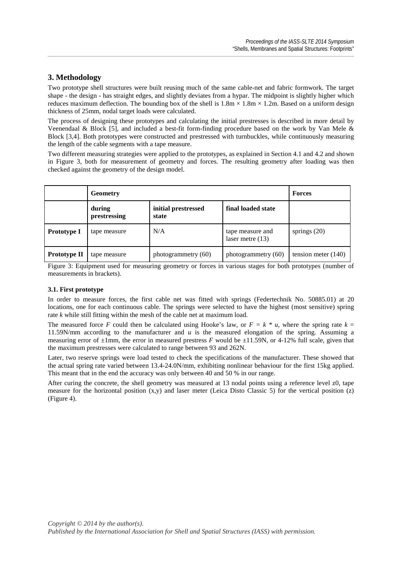## **3. Methodology**

Two prototype shell structures were built reusing much of the same cable-net and fabric formwork. The target shape - the design - has straight edges, and slightly deviates from a hypar. The midpoint is slightly higher which reduces maximum deflection. The bounding box of the shell is  $1.8m \times 1.8m \times 1.2m$ . Based on a uniform design thickness of 25mm, nodal target loads were calculated.

The process of designing these prototypes and calculating the initial prestresses is described in more detail by Veenendaal & Block [5], and included a best-fit form-finding procedure based on the work by Van Mele & Block [3,4]. Both prototypes were constructed and prestressed with turnbuckles, while continuously measuring the length of the cable segments with a tape measure.

Two different measuring strategies were applied to the prototypes, as explained in Section 4.1 and 4.2 and shown in Figure 3, both for measurement of geometry and forces. The resulting geometry after loading was then checked against the geometry of the design model.

|                    | <b>Geometry</b>        | <b>Forces</b>                |                                        |                       |
|--------------------|------------------------|------------------------------|----------------------------------------|-----------------------|
|                    | during<br>prestressing | initial prestressed<br>state | final loaded state                     |                       |
| <b>Prototype I</b> | tape measure           | N/A                          | tape measure and<br>laser metre $(13)$ | springs $(20)$        |
| Prototype II       | tape measure           | photogrammetry (60)          | photogrammetry (60)                    | tension meter $(140)$ |

Figure 3: Equipment used for measuring geometry or forces in various stages for both prototypes (number of measurements in brackets).

#### **3.1. First prototype**

In order to measure forces, the first cable net was fitted with springs (Federtechnik No. 50885.01) at 20 locations, one for each continuous cable. The springs were selected to have the highest (most sensitive) spring rate *k* while still fitting within the mesh of the cable net at maximum load.

The measured force *F* could then be calculated using Hooke's law, or  $F = k * u$ , where the spring rate  $k =$ 11.59N/mm according to the manufacturer and *u* is the measured elongation of the spring. Assuming a measuring error of  $\pm 1$ mm, the error in measured prestress *F* would be  $\pm 11.59$ N, or 4-12% full scale, given that the maximum prestresses were calculated to range between 93 and 262N.

Later, two reserve springs were load tested to check the specifications of the manufacturer. These showed that the actual spring rate varied between 13.4-24.0N/mm, exhibiting nonlinear behaviour for the first 15kg applied. This meant that in the end the accuracy was only between 40 and 50 % in our range.

After curing the concrete, the shell geometry was measured at 13 nodal points using a reference level z0, tape measure for the horizontal position  $(x,y)$  and laser meter (Leica Disto Classic 5) for the vertical position  $(z)$ (Figure 4).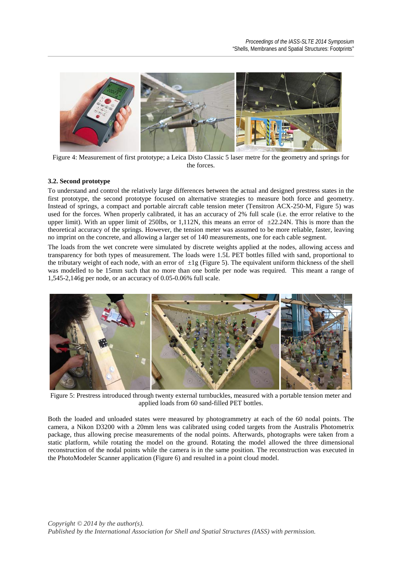

Figure 4: Measurement of first prototype; a Leica Disto Classic 5 laser metre for the geometry and springs for the forces.

#### **3.2. Second prototype**

To understand and control the relatively large differences between the actual and designed prestress states in the first prototype, the second prototype focused on alternative strategies to measure both force and geometry. Instead of springs, a compact and portable aircraft cable tension meter (Tensitron ACX-250-M, Figure 5) was used for the forces. When properly calibrated, it has an accuracy of 2% full scale (i.e. the error relative to the upper limit). With an upper limit of 250lbs, or 1,112N, this means an error of  $\pm$ 22.24N. This is more than the theoretical accuracy of the springs. However, the tension meter was assumed to be more reliable, faster, leaving no imprint on the concrete, and allowing a larger set of 140 measurements, one for each cable segment.

The loads from the wet concrete were simulated by discrete weights applied at the nodes, allowing access and transparency for both types of measurement. The loads were 1.5L PET bottles filled with sand, proportional to the tributary weight of each node, with an error of  $\pm 1$ g (Figure 5). The equivalent uniform thickness of the shell was modelled to be 15mm such that no more than one bottle per node was required. This meant a range of 1,545-2,146g per node, or an accuracy of 0.05-0.06% full scale.



Figure 5: Prestress introduced through twenty external turnbuckles, measured with a portable tension meter and applied loads from 60 sand-filled PET bottles.

Both the loaded and unloaded states were measured by photogrammetry at each of the 60 nodal points. The camera, a Nikon D3200 with a 20mm lens was calibrated using coded targets from the Australis Photometrix package, thus allowing precise measurements of the nodal points. Afterwards, photographs were taken from a static platform, while rotating the model on the ground. Rotating the model allowed the three dimensional reconstruction of the nodal points while the camera is in the same position. The reconstruction was executed in the PhotoModeler Scanner application (Figure 6) and resulted in a point cloud model.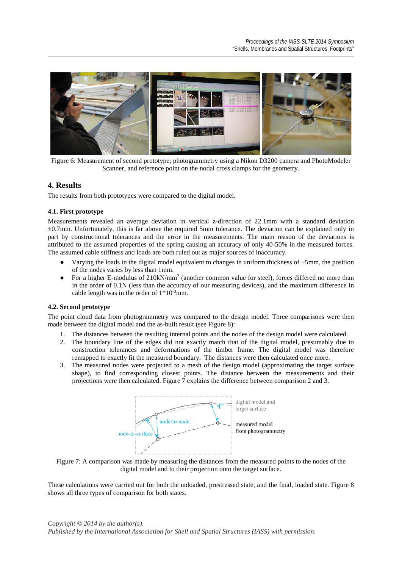

Figure 6: Measurement of second prototype; photogrammetry using a Nikon D3200 camera and PhotoModeler Scanner, and reference point on the nodal cross clamps for the geometry.

## **4. Results**

The results from both prototypes were compared to the digital model.

#### **4.1. First prototype**

Measurements revealed an average deviation in vertical z-direction of 22.1mm with a standard deviation  $\pm 0.7$ mm. Unfortunately, this is far above the required 5mm tolerance. The deviation can be explained only in part by constructional tolerances and the error in the measurements. The main reason of the deviations is attributed to the assumed properties of the spring causing an accuracy of only 40-50% in the measured forces. The assumed cable stiffness and loads are both ruled out as major sources of inaccuracy.

- Varying the loads in the digital model equivalent to changes in uniform thickness of  $\pm 5$ mm, the position of the nodes varies by less than 1mm.
- For a higher E-modulus of 210kN/mm<sup>2</sup> (another common value for steel), forces differed no more than in the order of 0.1N (less than the accuracy of our measuring devices), and the maximum difference in cable length was in the order of  $1*10<sup>-3</sup>$ mm.

#### **4.2. Second prototype**

The point cloud data from photogrammetry was compared to the design model. Three comparisons were then made between the digital model and the as-built result (see Figure 8):

- 1. The distances between the resulting internal points and the nodes of the design model were calculated.
- 2. The boundary line of the edges did not exactly match that of the digital model, presumably due to construction tolerances and deformations of the timber frame. The digital model was therefore remapped to exactly fit the measured boundary. The distances were then calculated once more.
- 3. The measured nodes were projected to a mesh of the design model (approximating the target surface shape), to find corresponding closest points. The distance between the measurements and their projections were then calculated. Figure 7 explains the difference between comparison 2 and 3.



Figure 7: A comparison was made by measuring the distances from the measured points to the nodes of the digital model and to their projection onto the target surface.

These calculations were carried out for both the unloaded, prestressed state, and the final, loaded state. Figure 8 shows all three types of comparison for both states.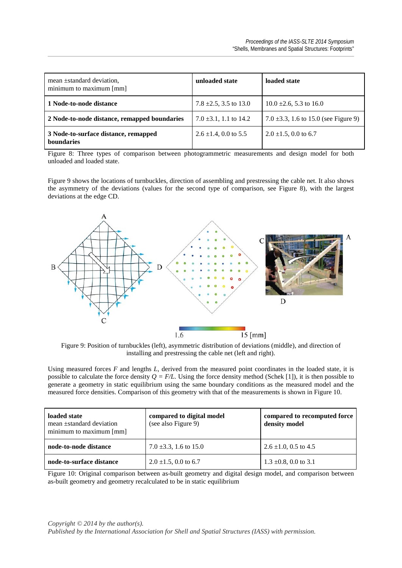| mean ±standard deviation,<br>minimum to maximum [mm]      | unloaded state             | loaded state                              |
|-----------------------------------------------------------|----------------------------|-------------------------------------------|
| 1 Node-to-node distance                                   | 7.8 $\pm$ 2.5, 3.5 to 13.0 | $10.0 \pm 2.6$ , 5.3 to 16.0              |
| 2 Node-to-node distance, remapped boundaries              | 7.0 $\pm$ 3.1, 1.1 to 14.2 | 7.0 $\pm$ 3.3, 1.6 to 15.0 (see Figure 9) |
| 3 Node-to-surface distance, remapped<br><b>boundaries</b> | $2.6 \pm 1.4$ , 0.0 to 5.5 | $2.0 \pm 1.5$ , 0.0 to 6.7                |

Figure 8: Three types of comparison between photogrammetric measurements and design model for both unloaded and loaded state.

Figure 9 shows the locations of turnbuckles, direction of assembling and prestressing the cable net. It also shows the asymmetry of the deviations (values for the second type of comparison, see Figure 8), with the largest deviations at the edge CD.



Figure 9: Position of turnbuckles (left), asymmetric distribution of deviations (middle), and direction of installing and prestressing the cable net (left and right).

Using measured forces *F* and lengths *L,* derived from the measured point coordinates in the loaded state, it is possible to calculate the force density  $Q = F/L$ . Using the force density method (Schek [1]), it is then possible to generate a geometry in static equilibrium using the same boundary conditions as the measured model and the measured force densities. Comparison of this geometry with that of the measurements is shown in Figure 10.

| loaded state<br>mean ±standard deviation<br>minimum to maximum [mm] | compared to digital model<br>(see also Figure 9) | compared to recomputed force<br>density model |
|---------------------------------------------------------------------|--------------------------------------------------|-----------------------------------------------|
| node-to-node distance                                               | 7.0 $\pm$ 3.3, 1.6 to 15.0                       | $2.6 \pm 1.0$ , 0.5 to 4.5                    |
| node-to-surface distance                                            | $2.0 \pm 1.5$ , 0.0 to 6.7                       | $1.3 \pm 0.8$ , 0.0 to 3.1                    |

Figure 10: Original comparison between as-built geometry and digital design model, and comparison between as-built geometry and geometry recalculated to be in static equilibrium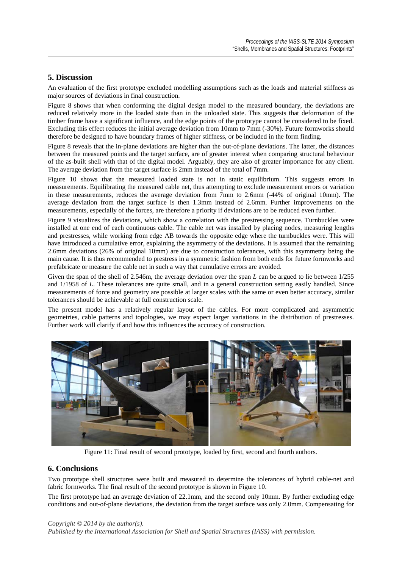## **5. Discussion**

An evaluation of the first prototype excluded modelling assumptions such as the loads and material stiffness as major sources of deviations in final construction.

Figure 8 shows that when conforming the digital design model to the measured boundary, the deviations are reduced relatively more in the loaded state than in the unloaded state. This suggests that deformation of the timber frame have a significant influence, and the edge points of the prototype cannot be considered to be fixed. Excluding this effect reduces the initial average deviation from 10mm to 7mm (-30%). Future formworks should therefore be designed to have boundary frames of higher stiffness, or be included in the form finding.

Figure 8 reveals that the in-plane deviations are higher than the out-of-plane deviations. The latter, the distances between the measured points and the target surface, are of greater interest when comparing structural behaviour of the as-built shell with that of the digital model. Arguably, they are also of greater importance for any client. The average deviation from the target surface is 2mm instead of the total of 7mm.

Figure 10 shows that the measured loaded state is not in static equilibrium. This suggests errors in measurements. Equilibrating the measured cable net, thus attempting to exclude measurement errors or variation in these measurements, reduces the average deviation from 7mm to 2.6mm (-44% of original 10mm). The average deviation from the target surface is then 1.3mm instead of 2.6mm. Further improvements on the measurements, especially of the forces, are therefore a priority if deviations are to be reduced even further.

Figure 9 visualizes the deviations, which show a correlation with the prestressing sequence. Turnbuckles were installed at one end of each continuous cable. The cable net was installed by placing nodes, measuring lengths and prestresses, while working from edge AB towards the opposite edge where the turnbuckles were. This will have introduced a cumulative error, explaining the asymmetry of the deviations. It is assumed that the remaining 2.6mm deviations (26% of original 10mm) are due to construction tolerances, with this asymmetry being the main cause. It is thus recommended to prestress in a symmetric fashion from both ends for future formworks and prefabricate or measure the cable net in such a way that cumulative errors are avoided.

Given the span of the shell of 2.546m, the average deviation over the span *L* can be argued to lie between  $1/255$ and 1/1958 of *L*. These tolerances are quite small, and in a general construction setting easily handled. Since measurements of force and geometry are possible at larger scales with the same or even better accuracy, similar tolerances should be achievable at full construction scale.

The present model has a relatively regular layout of the cables. For more complicated and asymmetric geometries, cable patterns and topologies, we may expect larger variations in the distribution of prestresses. Further work will clarify if and how this influences the accuracy of construction.



Figure 11: Final result of second prototype, loaded by first, second and fourth authors.

## **6. Conclusions**

Two prototype shell structures were built and measured to determine the tolerances of hybrid cable-net and fabric formworks. The final result of the second prototype is shown in Figure 10.

The first prototype had an average deviation of 22.1mm, and the second only 10mm. By further excluding edge conditions and out-of-plane deviations, the deviation from the target surface was only 2.0mm. Compensating for

*Copyright © 2014 by the author(s).*

*Published by the International Association for Shell and Spatial Structures (IASS) with permission.*